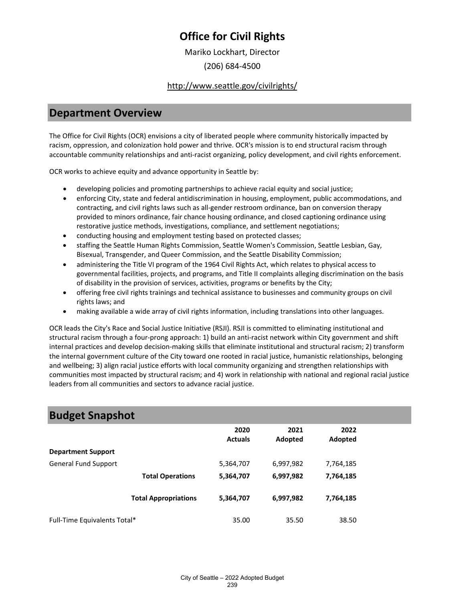Mariko Lockhart, Director

(206) 684-4500

#### <http://www.seattle.gov/civilrights/>

### **Department Overview**

The Office for Civil Rights (OCR) envisions a city of liberated people where community historically impacted by racism, oppression, and colonization hold power and thrive. OCR's mission is to end structural racism through accountable community relationships and anti-racist organizing, policy development, and civil rights enforcement.

OCR works to achieve equity and advance opportunity in Seattle by:

- developing policies and promoting partnerships to achieve racial equity and social justice;
- enforcing City, state and federal antidiscrimination in housing, employment, public accommodations, and contracting, and civil rights laws such as all-gender restroom ordinance, ban on conversion therapy provided to minors ordinance, fair chance housing ordinance, and closed captioning ordinance using restorative justice methods, investigations, compliance, and settlement negotiations;
- conducting housing and employment testing based on protected classes;
- staffing the Seattle Human Rights Commission, Seattle Women's Commission, Seattle Lesbian, Gay, Bisexual, Transgender, and Queer Commission, and the Seattle Disability Commission;
- administering the Title VI program of the 1964 Civil Rights Act, which relates to physical access to governmental facilities, projects, and programs, and Title II complaints alleging discrimination on the basis of disability in the provision of services, activities, programs or benefits by the City;
- offering free civil rights trainings and technical assistance to businesses and community groups on civil rights laws; and
- making available a wide array of civil rights information, including translations into other languages.

OCR leads the City's Race and Social Justice Initiative (RSJI). RSJI is committed to eliminating institutional and structural racism through a four-prong approach: 1) build an anti-racist network within City government and shift internal practices and develop decision-making skills that eliminate institutional and structural racism; 2) transform the internal government culture of the City toward one rooted in racial justice, humanistic relationships, belonging and wellbeing; 3) align racial justice efforts with local community organizing and strengthen relationships with communities most impacted by structural racism; and 4) work in relationship with national and regional racial justice leaders from all communities and sectors to advance racial justice.

| <b>Budget Snapshot</b>       |                             |                |           |           |  |
|------------------------------|-----------------------------|----------------|-----------|-----------|--|
|                              |                             | 2020           | 2021      | 2022      |  |
| <b>Department Support</b>    |                             | <b>Actuals</b> | Adopted   | Adopted   |  |
| <b>General Fund Support</b>  |                             | 5,364,707      | 6,997,982 | 7,764,185 |  |
|                              | <b>Total Operations</b>     | 5,364,707      | 6,997,982 | 7,764,185 |  |
|                              | <b>Total Appropriations</b> | 5,364,707      | 6,997,982 | 7,764,185 |  |
| Full-Time Equivalents Total* |                             | 35.00          | 35.50     | 38.50     |  |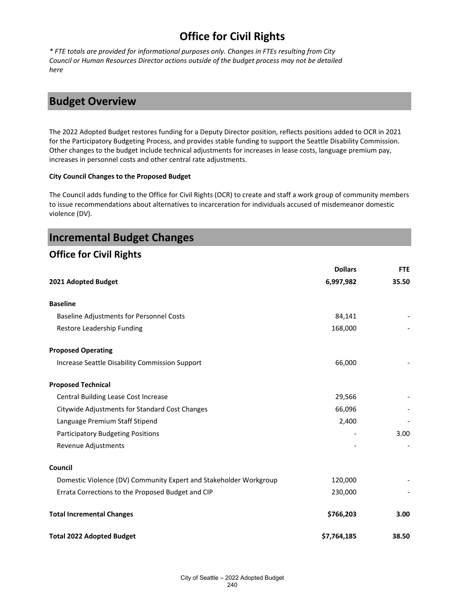*\* FTE totals are provided for informational purposes only. Changes in FTEs resulting from City Council or Human Resources Director actions outside of the budget process may not be detailed here*

### **Budget Overview**

The 2022 Adopted Budget restores funding for a Deputy Director position, reflects positions added to OCR in 2021 for the Participatory Budgeting Process, and provides stable funding to support the Seattle Disability Commission. Other changes to the budget include technical adjustments for increases in lease costs, language premium pay, increases in personnel costs and other central rate adjustments.

#### **City Council Changes to the Proposed Budget**

The Council adds funding to the Office for Civil Rights (OCR) to create and staff a work group of community members to issue recommendations about alternatives to incarceration for individuals accused of misdemeanor domestic violence (DV).

| <b>Incremental Budget Changes</b>                                 |                |            |
|-------------------------------------------------------------------|----------------|------------|
| <b>Office for Civil Rights</b>                                    |                |            |
|                                                                   | <b>Dollars</b> | <b>FTE</b> |
| 2021 Adopted Budget                                               | 6,997,982      | 35.50      |
| <b>Baseline</b>                                                   |                |            |
| <b>Baseline Adjustments for Personnel Costs</b>                   | 84,141         |            |
| Restore Leadership Funding                                        | 168,000        |            |
| <b>Proposed Operating</b>                                         |                |            |
| Increase Seattle Disability Commission Support                    | 66,000         |            |
| <b>Proposed Technical</b>                                         |                |            |
| Central Building Lease Cost Increase                              | 29,566         |            |
| Citywide Adjustments for Standard Cost Changes                    | 66,096         |            |
| Language Premium Staff Stipend                                    | 2,400          |            |
| <b>Participatory Budgeting Positions</b>                          |                | 3.00       |
| Revenue Adjustments                                               |                |            |
| Council                                                           |                |            |
| Domestic Violence (DV) Community Expert and Stakeholder Workgroup | 120,000        |            |
| Errata Corrections to the Proposed Budget and CIP                 | 230,000        |            |
| <b>Total Incremental Changes</b>                                  | \$766,203      | 3.00       |
| <b>Total 2022 Adopted Budget</b>                                  | \$7,764,185    | 38.50      |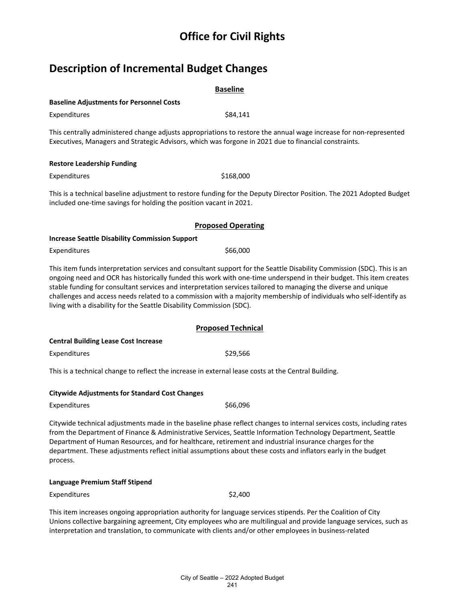## **Description of Incremental Budget Changes**

| <b>Baseline</b>                                                                                                                                                                                                                                                                                                                                                                                                                                                                                                                                               |  |  |  |
|---------------------------------------------------------------------------------------------------------------------------------------------------------------------------------------------------------------------------------------------------------------------------------------------------------------------------------------------------------------------------------------------------------------------------------------------------------------------------------------------------------------------------------------------------------------|--|--|--|
| <b>Baseline Adjustments for Personnel Costs</b>                                                                                                                                                                                                                                                                                                                                                                                                                                                                                                               |  |  |  |
| Expenditures<br>\$84,141                                                                                                                                                                                                                                                                                                                                                                                                                                                                                                                                      |  |  |  |
| This centrally administered change adjusts appropriations to restore the annual wage increase for non-represented<br>Executives, Managers and Strategic Advisors, which was forgone in 2021 due to financial constraints.                                                                                                                                                                                                                                                                                                                                     |  |  |  |
| <b>Restore Leadership Funding</b>                                                                                                                                                                                                                                                                                                                                                                                                                                                                                                                             |  |  |  |
| \$168,000<br>Expenditures                                                                                                                                                                                                                                                                                                                                                                                                                                                                                                                                     |  |  |  |
| This is a technical baseline adjustment to restore funding for the Deputy Director Position. The 2021 Adopted Budget<br>included one-time savings for holding the position vacant in 2021.                                                                                                                                                                                                                                                                                                                                                                    |  |  |  |
| <b>Proposed Operating</b>                                                                                                                                                                                                                                                                                                                                                                                                                                                                                                                                     |  |  |  |
| <b>Increase Seattle Disability Commission Support</b>                                                                                                                                                                                                                                                                                                                                                                                                                                                                                                         |  |  |  |
| \$66,000<br>Expenditures                                                                                                                                                                                                                                                                                                                                                                                                                                                                                                                                      |  |  |  |
| This item funds interpretation services and consultant support for the Seattle Disability Commission (SDC). This is an<br>ongoing need and OCR has historically funded this work with one-time underspend in their budget. This item creates<br>stable funding for consultant services and interpretation services tailored to managing the diverse and unique<br>challenges and access needs related to a commission with a majority membership of individuals who self-identify as<br>living with a disability for the Seattle Disability Commission (SDC). |  |  |  |
| <b>Proposed Technical</b>                                                                                                                                                                                                                                                                                                                                                                                                                                                                                                                                     |  |  |  |
| <b>Central Building Lease Cost Increase</b>                                                                                                                                                                                                                                                                                                                                                                                                                                                                                                                   |  |  |  |
| \$29,566<br>Expenditures                                                                                                                                                                                                                                                                                                                                                                                                                                                                                                                                      |  |  |  |
| This is a technical change to reflect the increase in external lease costs at the Central Building.                                                                                                                                                                                                                                                                                                                                                                                                                                                           |  |  |  |
| <b>Citywide Adjustments for Standard Cost Changes</b>                                                                                                                                                                                                                                                                                                                                                                                                                                                                                                         |  |  |  |
| \$66,096<br>Expenditures                                                                                                                                                                                                                                                                                                                                                                                                                                                                                                                                      |  |  |  |
| Citywide technical adjustments made in the baseline phase reflect changes to internal services costs, including rates<br>from the Department of Finance & Administrative Services, Seattle Information Technology Department, Seattle<br>Department of Human Resources, and for healthcare, retirement and industrial insurance charges for the<br>department. These adjustments reflect initial assumptions about these costs and inflators early in the budget<br>process.                                                                                  |  |  |  |
| Language Premium Staff Stipend                                                                                                                                                                                                                                                                                                                                                                                                                                                                                                                                |  |  |  |
| \$2,400<br>Expenditures                                                                                                                                                                                                                                                                                                                                                                                                                                                                                                                                       |  |  |  |
| This item increases ongoing appropriation authority for language services stipends. Per the Coalition of City<br>Unions collective bargaining agreement, City employees who are multilingual and provide language services, such as<br>interpretation and translation, to communicate with clients and/or other employees in business-related                                                                                                                                                                                                                 |  |  |  |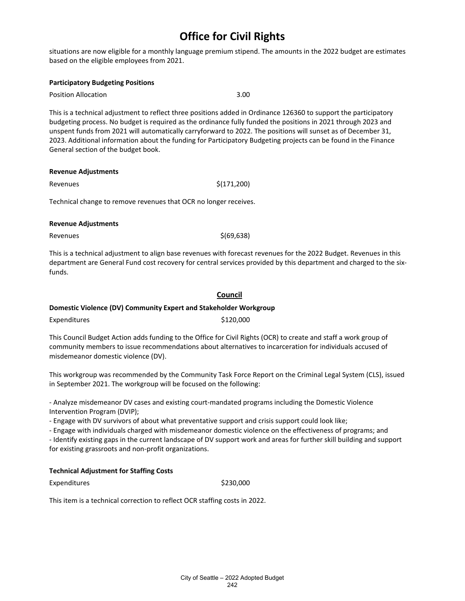situations are now eligible for a monthly language premium stipend. The amounts in the 2022 budget are estimates based on the eligible employees from 2021.

#### **Participatory Budgeting Positions**

Position Allocation 3.00

This is a technical adjustment to reflect three positions added in Ordinance 126360 to support the participatory budgeting process. No budget is required as the ordinance fully funded the positions in 2021 through 2023 and unspent funds from 2021 will automatically carryforward to 2022. The positions will sunset as of December 31, 2023. Additional information about the funding for Participatory Budgeting projects can be found in the Finance General section of the budget book.

#### **Revenue Adjustments**

Revenues  $\zeta(171,200)$ 

Technical change to remove revenues that OCR no longer receives.

#### **Revenue Adjustments**

 $Re$ venues  $\zeta(69,638)$ 

This is a technical adjustment to align base revenues with forecast revenues for the 2022 Budget. Revenues in this department are General Fund cost recovery for central services provided by this department and charged to the sixfunds.

#### **Council**

#### **Domestic Violence (DV) Community Expert and Stakeholder Workgroup**

Expenditures \$120,000

This Council Budget Action adds funding to the Office for Civil Rights (OCR) to create and staff a work group of community members to issue recommendations about alternatives to incarceration for individuals accused of misdemeanor domestic violence (DV).

This workgroup was recommended by the Community Task Force Report on the Criminal Legal System (CLS), issued in September 2021. The workgroup will be focused on the following:

- Analyze misdemeanor DV cases and existing court-mandated programs including the Domestic Violence Intervention Program (DVIP);

- Engage with DV survivors of about what preventative support and crisis support could look like;

- Engage with individuals charged with misdemeanor domestic violence on the effectiveness of programs; and

- Identify existing gaps in the current landscape of DV support work and areas for further skill building and support for existing grassroots and non-profit organizations.

#### **Technical Adjustment for Staffing Costs**

Expenditures \$230,000

This item is a technical correction to reflect OCR staffing costs in 2022.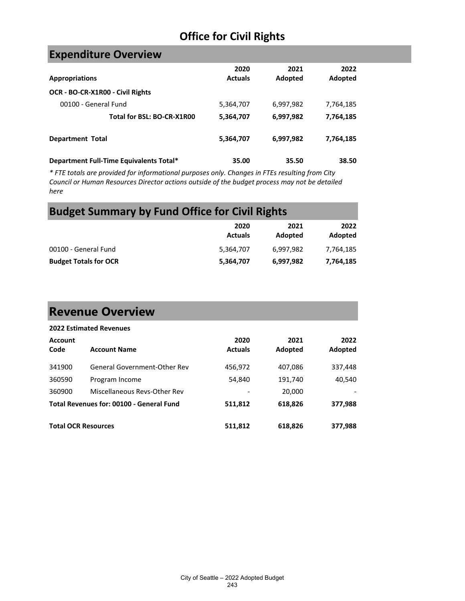### **Expenditure Overview**

| <b>Appropriations</b>                   | 2020<br><b>Actuals</b> | 2021<br>Adopted | 2022<br>Adopted |
|-----------------------------------------|------------------------|-----------------|-----------------|
| OCR - BO-CR-X1R00 - Civil Rights        |                        |                 |                 |
| 00100 - General Fund                    | 5,364,707              | 6,997,982       | 7,764,185       |
| Total for BSL: BO-CR-X1R00              | 5,364,707              | 6,997,982       | 7,764,185       |
| <b>Department Total</b>                 | 5,364,707              | 6,997,982       | 7,764,185       |
| Department Full-Time Equivalents Total* | 35.00                  | 35.50           | 38.50           |

*\* FTE totals are provided for informational purposes only. Changes in FTEs resulting from City Council or Human Resources Director actions outside of the budget process may not be detailed here*

### **Budget Summary by Fund Office for Civil Rights**

|                              | 2020<br><b>Actuals</b> | 2021<br>Adopted | 2022<br>Adopted |
|------------------------------|------------------------|-----------------|-----------------|
| 00100 - General Fund         | 5.364.707              | 6.997.982       | 7.764.185       |
| <b>Budget Totals for OCR</b> | 5,364,707              | 6,997,982       | 7,764,185       |

## **Revenue Overview**

|                            | <b>2022 Estimated Revenues</b>           |                        |                 |                 |
|----------------------------|------------------------------------------|------------------------|-----------------|-----------------|
| <b>Account</b><br>Code     | <b>Account Name</b>                      | 2020<br><b>Actuals</b> | 2021<br>Adopted | 2022<br>Adopted |
| 341900                     | General Government-Other Rev             | 456,972                | 407,086         | 337,448         |
| 360590                     | Program Income                           | 54,840                 | 191,740         | 40,540          |
| 360900                     | Miscellaneous Revs-Other Rev             |                        | 20,000          |                 |
|                            | Total Revenues for: 00100 - General Fund | 511,812                | 618,826         | 377,988         |
| <b>Total OCR Resources</b> |                                          | 511.812                | 618,826         | 377,988         |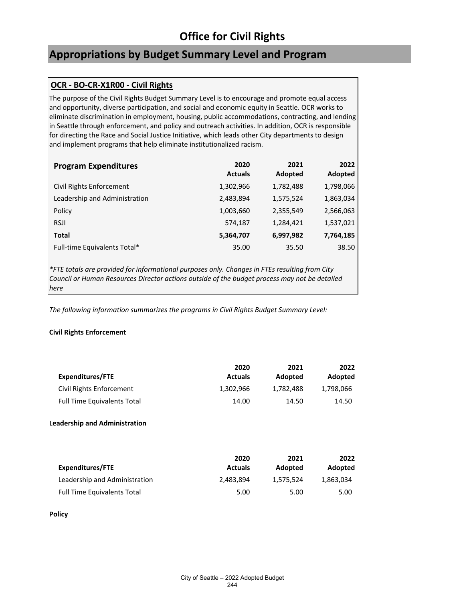### **Appropriations by Budget Summary Level and Program**

### **OCR - BO-CR-X1R00 - Civil Rights**

The purpose of the Civil Rights Budget Summary Level is to encourage and promote equal access and opportunity, diverse participation, and social and economic equity in Seattle. OCR works to eliminate discrimination in employment, housing, public accommodations, contracting, and lending in Seattle through enforcement, and policy and outreach activities. In addition, OCR is responsible for directing the Race and Social Justice Initiative, which leads other City departments to design and implement programs that help eliminate institutionalized racism.

| <b>Program Expenditures</b>   | 2020<br><b>Actuals</b> | 2021<br>Adopted | 2022<br>Adopted |
|-------------------------------|------------------------|-----------------|-----------------|
| Civil Rights Enforcement      | 1,302,966              | 1,782,488       | 1,798,066       |
| Leadership and Administration | 2,483,894              | 1,575,524       | 1,863,034       |
| Policy                        | 1,003,660              | 2,355,549       | 2,566,063       |
| <b>RSJI</b>                   | 574,187                | 1,284,421       | 1,537,021       |
| Total                         | 5,364,707              | 6,997,982       | 7,764,185       |
| Full-time Equivalents Total*  | 35.00                  | 35.50           | 38.50           |

*\*FTE totals are provided for informational purposes only. Changes in FTEs resulting from City Council or Human Resources Director actions outside of the budget process may not be detailed here*

*The following information summarizes the programs in Civil Rights Budget Summary Level:*

#### **Civil Rights Enforcement**

| <b>Expenditures/FTE</b>            | 2020<br><b>Actuals</b> | 2021<br>Adopted | 2022<br>Adopted |
|------------------------------------|------------------------|-----------------|-----------------|
| Civil Rights Enforcement           | 1,302,966              | 1.782.488       | 1,798,066       |
| <b>Full Time Equivalents Total</b> | 14.00                  | 14.50           | 14.50           |
|                                    |                        |                 |                 |

#### **Leadership and Administration**

| Expenditures/FTE                   | 2020<br><b>Actuals</b> | 2021<br>Adopted | 2022<br>Adopted |
|------------------------------------|------------------------|-----------------|-----------------|
| Leadership and Administration      | 2.483.894              | 1.575.524       | 1,863,034       |
| <b>Full Time Equivalents Total</b> | 5.00                   | 5.00            | 5.00            |

**Policy**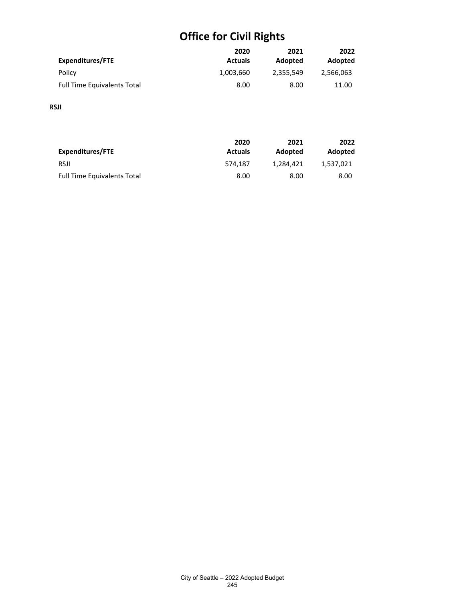|                                    | 2020           | 2021      | 2022      |
|------------------------------------|----------------|-----------|-----------|
| Expenditures/FTE                   | <b>Actuals</b> | Adopted   | Adopted   |
| Policy                             | 1,003,660      | 2,355,549 | 2,566,063 |
| <b>Full Time Equivalents Total</b> | 8.00           | 8.00      | 11.00     |

#### **RSJI**

| Expenditures/FTE                   | 2020<br><b>Actuals</b> | 2021<br>Adopted | 2022<br>Adopted |
|------------------------------------|------------------------|-----------------|-----------------|
| <b>RSJI</b>                        | 574.187                | 1.284.421       | 1.537.021       |
| <b>Full Time Equivalents Total</b> | 8.00                   | 8.00            | 8.00            |